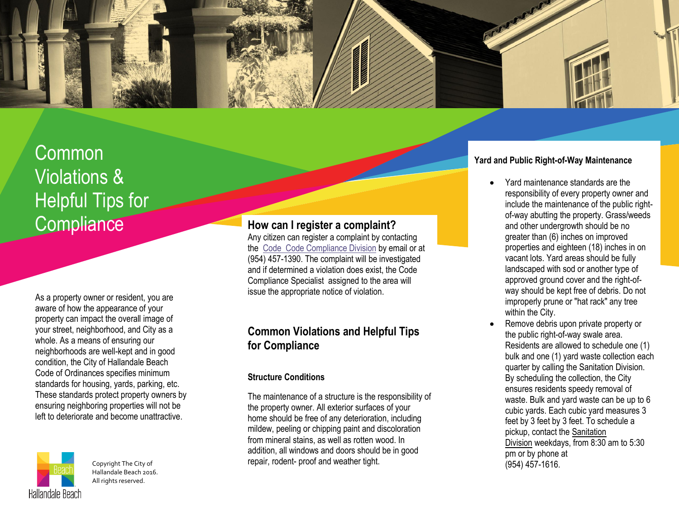

# Common Violations & Helpful Tips for **Compliance**

As a property owner or resident, you are aware of how the appearance of your property can impact the overall image of your street, neighborhood, and City as a whole. As a means of ensuring our neighborhoods are well-kept and in good condition, the City of Hallandale Beach Code of Ordinances specifies minimum standards for housing, yards, parking, etc. These standards protect property owners by ensuring neighboring properties will not be left to deteriorate and become unattractive.



Copyright The City of Hallandale Beach 2016. All rights reserved.

## **How can I register a complaint?**

Any citizen can register a complaint by contacting the Code [Code Compliance Division](mailto:acox@hallandalebeachfl.gov) by email or at (954) 457-1390. The complaint will be investigated and if determined a violation does exist, the Code Compliance Specialist assigned to the area will issue the appropriate notice of violation.

## **Common Violations and Helpful Tips for Compliance**

#### **Structure Conditions**

The maintenance of a structure is the responsibility of the property owner. All exterior surfaces of your home should be free of any deterioration, including mildew, peeling or chipping paint and discoloration from mineral stains, as well as rotten wood. In addition, all windows and doors should be in good repair, rodent- proof and weather tight.

#### **Yard and Public Right-of-Way Maintenance**

- Yard maintenance standards are the responsibility of every property owner and include the maintenance of the public rightof-way abutting the property. Grass/weeds and other undergrowth should be no greater than (6) inches on improved properties and eighteen (18) inches in on vacant lots. Yard areas should be fully landscaped with sod or another type of approved ground cover and the right-ofway should be kept free of debris. Do not improperly prune or "hat rack" any tree within the City.
- Remove debris upon private property or the public right-of-way swale area. Residents are allowed to schedule one (1) bulk and one (1) yard waste collection each quarter by calling the Sanitation Division. By scheduling the collection, the City ensures residents speedy removal of waste. Bulk and yard waste can be up to 6 cubic yards. Each cubic yard measures 3 feet by 3 feet by 3 feet. To schedule a pickup, contact the [Sanitation](http://www.hallandalebeachfl.gov/index.asp?nid=186)  [Division](http://www.hallandalebeachfl.gov/index.asp?nid=186) weekdays, from 8:30 am to 5:30 pm or by phone at (954) 457-1616.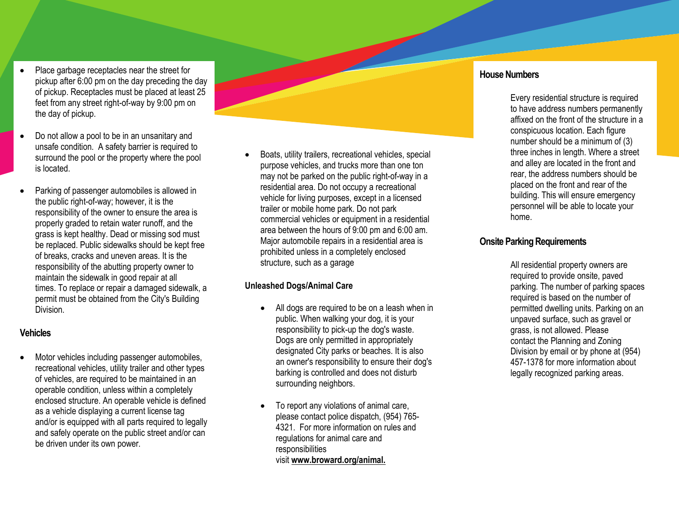- Place garbage receptacles near the street for pickup after 6:00 pm on the day preceding the day of pickup. Receptacles must be placed at least 25 feet from any street right-of-way by 9:00 pm on the day of pickup.
- Do not allow a pool to be in an unsanitary and unsafe condition. A safety barrier is required to surround the pool or the property where the pool is located.
- Parking of passenger automobiles is allowed in the public right-of-way; however, it is the responsibility of the owner to ensure the area is properly graded to retain water runoff, and the grass is kept healthy. Dead or missing sod must be replaced. Public sidewalks should be kept free of breaks, cracks and uneven areas. It is the responsibility of the abutting property owner to maintain the sidewalk in good repair at all times. To replace or repair a damaged sidewalk, a permit must be obtained from the City's Building Division.

## **Vehicles**

 Motor vehicles including passenger automobiles, recreational vehicles, utility trailer and other types of vehicles, are required to be maintained in an operable condition, unless within a completely enclosed structure. An operable vehicle is defined as a vehicle displaying a current license tag and/or is equipped with all parts required to legally and safely operate on the public street and/or can be driven under its own power.

 Boats, utility trailers, recreational vehicles, special purpose vehicles, and trucks more than one ton may not be parked on the public right-of-way in a residential area. Do not occupy a recreational vehicle for living purposes, except in a licensed trailer or mobile home park. Do not park commercial vehicles or equipment in a residential area between the hours of 9:00 pm and 6:00 am. Major automobile repairs in a residential area is prohibited unless in a completely enclosed structure, such as a garage

## **Unleashed Dogs/Animal Care**

- All dogs are required to be on a leash when in public. When walking your dog, it is your responsibility to pick-up the dog's waste. Dogs are only permitted in appropriately designated City parks or beaches. It is also an owner's responsibility to ensure their dog's barking is controlled and does not disturb surrounding neighbors.
- To report any violations of animal care, please contact police dispatch, (954) 765- 4321. For more information on rules and regulations for animal care and responsibilities visit **[www.broward.org/animal.](http://www.broward.org/animal.)**

## **House Numbers**

Every residential structure is required to have address numbers permanently affixed on the front of the structure in a conspicuous location. Each figure number should be a minimum of (3) three inches in length. Where a street and alley are located in the front and rear, the address numbers should be placed on the front and rear of the building. This will ensure emergency personnel will be able to locate your home.

## **Onsite Parking Requirements**

All residential property owners are required to provide onsite, paved parking. The number of parking spaces required is based on the number of permitted dwelling units. Parking on an unpaved surface, such as gravel or grass, is not allowed. Please contact the Planning and Zoning Division by [email](http://www.hallandalebeachfl.gov/index.aspx?NID=79) or by phone at (954) 457-1378 for more information about legally recognized parking areas.